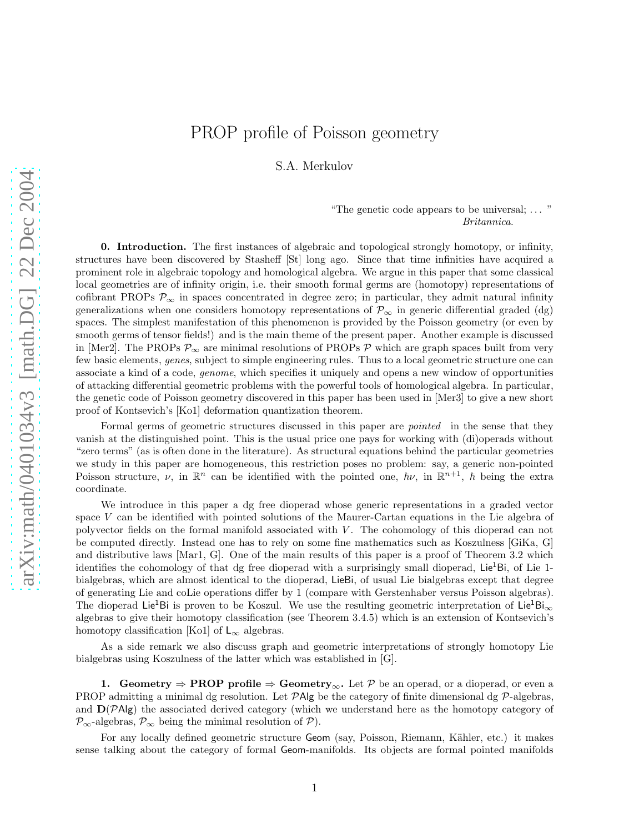# PROP profile of Poisson geometry

S.A. Merkulov

### "The genetic code appears to be universal; . . . " Britannica.

0. Introduction. The first instances of algebraic and topological strongly homotopy, or infinity, structures have been discovered by Stasheff [St] long ago. Since that time infinities have acquired a prominent role in algebraic topology and homological algebra. We argue in this paper that some classical local geometries are of infinity origin, i.e. their smooth formal germs are (homotopy) representations of cofibrant PROPs  $\mathcal{P}_{\infty}$  in spaces concentrated in degree zero; in particular, they admit natural infinity generalizations when one considers homotopy representations of  $\mathcal{P}_{\infty}$  in generic differential graded (dg) spaces. The simplest manifestation of this phenomenon is provided by the Poisson geometry (or even by smooth germs of tensor fields!) and is the main theme of the present paper. Another example is discussed in [Mer2]. The PROPs  $\mathcal{P}_{\infty}$  are minimal resolutions of PROPs  $\mathcal{P}$  which are graph spaces built from very few basic elements, genes, subject to simple engineering rules. Thus to a local geometric structure one can associate a kind of a code, genome, which specifies it uniquely and opens a new window of opportunities of attacking differential geometric problems with the powerful tools of homological algebra. In particular, the genetic code of Poisson geometry discovered in this paper has been used in [Mer3] to give a new short proof of Kontsevich's [Ko1] deformation quantization theorem.

Formal germs of geometric structures discussed in this paper are *pointed* in the sense that they vanish at the distinguished point. This is the usual price one pays for working with (di)operads without "zero terms" (as is often done in the literature). As structural equations behind the particular geometries we study in this paper are homogeneous, this restriction poses no problem: say, a generic non-pointed Poisson structure,  $\nu$ , in  $\mathbb{R}^n$  can be identified with the pointed one,  $\hbar\nu$ , in  $\mathbb{R}^{n+1}$ ,  $\hbar$  being the extra coordinate.

We introduce in this paper a dg free dioperad whose generic representations in a graded vector space V can be identified with pointed solutions of the Maurer-Cartan equations in the Lie algebra of polyvector fields on the formal manifold associated with  $V$ . The cohomology of this dioperad can not be computed directly. Instead one has to rely on some fine mathematics such as Koszulness [GiKa, G] and distributive laws [Mar1, G]. One of the main results of this paper is a proof of Theorem 3.2 which identifies the cohomology of that dg free dioperad with a surprisingly small dioperad, Lie<sup>1</sup>Bi, of Lie 1bialgebras, which are almost identical to the dioperad, LieBi, of usual Lie bialgebras except that degree of generating Lie and coLie operations differ by 1 (compare with Gerstenhaber versus Poisson algebras). The dioperad Lie<sup>1</sup>Bi is proven to be Koszul. We use the resulting geometric interpretation of Lie<sup>1</sup>Bi<sub>∞</sub> algebras to give their homotopy classification (see Theorem 3.4.5) which is an extension of Kontsevich's homotopy classification [Ko1] of  $L_{\infty}$  algebras.

As a side remark we also discuss graph and geometric interpretations of strongly homotopy Lie bialgebras using Koszulness of the latter which was established in [G].

**1.** Geometry  $\Rightarrow$  **PROP** profile  $\Rightarrow$  Geometry<sub>∞</sub>. Let  $\mathcal{P}$  be an operad, or a dioperad, or even a PROP admitting a minimal dg resolution. Let  $\mathcal{P}Alg$  be the category of finite dimensional dg  $\mathcal{P}$ -algebras, and  $D(PAlg)$  the associated derived category (which we understand here as the homotopy category of  $\mathcal{P}_{\infty}$ -algebras,  $\mathcal{P}_{\infty}$  being the minimal resolution of  $\mathcal{P}$ ).

For any locally defined geometric structure Geom (say, Poisson, Riemann, Kähler, etc.) it makes sense talking about the category of formal Geom-manifolds. Its objects are formal pointed manifolds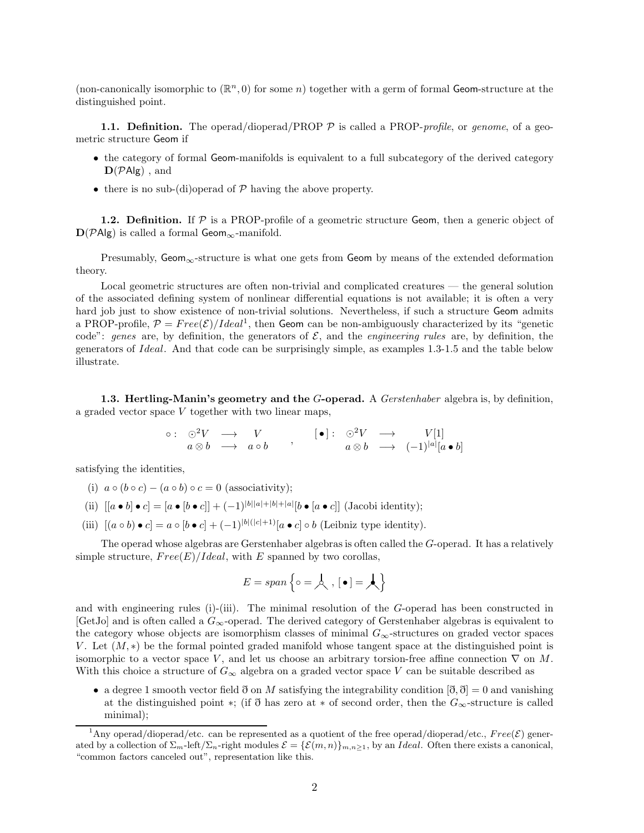(non-canonically isomorphic to  $(\mathbb{R}^n, 0)$  for some n) together with a germ of formal Geom-structure at the distinguished point.

**1.1. Definition.** The operad/dioperad/PROP  $\mathcal{P}$  is called a PROP-profile, or genome, of a geometric structure Geom if

- the category of formal Geom-manifolds is equivalent to a full subcategory of the derived category  $\mathbf{D}(\mathcal{P}Alg)$ , and
- there is no sub-(di)operad of  $P$  having the above property.

**1.2. Definition.** If  $P$  is a PROP-profile of a geometric structure Geom, then a generic object of  $D(PAlg)$  is called a formal Geom<sub>∞</sub>-manifold.

Presumably, Geom<sub>∞</sub>-structure is what one gets from Geom by means of the extended deformation theory.

Local geometric structures are often non-trivial and complicated creatures — the general solution of the associated defining system of nonlinear differential equations is not available; it is often a very hard job just to show existence of non-trivial solutions. Nevertheless, if such a structure Geom admits a PROP-profile,  $P = Free(\mathcal{E})/Ideal^1$ , then Geom can be non-ambiguously characterized by its "genetic code": genes are, by definition, the generators of  $\mathcal{E}$ , and the *engineering rules* are, by definition, the generators of Ideal. And that code can be surprisingly simple, as examples 1.3-1.5 and the table below illustrate.

1.3. Hertling-Manin's geometry and the G-operad. A Gerstenhaber algebra is, by definition, a graded vector space V together with two linear maps,

◦ : ⊙<sup>2</sup>V −→ V a ⊗ b −→ a ◦ b , [ • ] : ⊙<sup>2</sup>V −→ V [1] a ⊗ b −→ (−1)<sup>|</sup>a<sup>|</sup> [a • b]

satisfying the identities,

- (i)  $a \circ (b \circ c) (a \circ b) \circ c = 0$  (associativity);
- (ii)  $[[a \bullet b] \bullet c] = [a \bullet [b \bullet c]] + (-1)^{|b||a|+|b|+|a|} [b \bullet [a \bullet c]]$  (Jacobi identity);
- (iii)  $[(a \circ b) \bullet c] = a \circ [b \bullet c] + (-1)^{|b|(|c|+1)} [a \bullet c] \circ b$  (Leibniz type identity).

The operad whose algebras are Gerstenhaber algebras is often called the G-operad. It has a relatively simple structure,  $Free(E)/Ideal$ , with E spanned by two corollas,

$$
E = span\left\{ \circ = \mathcal{A}, \, \left[ \bullet \right] = \mathcal{A} \right\}
$$

and with engineering rules (i)-(iii). The minimal resolution of the  $G$ -operad has been constructed in  $[GetJo]$  and is often called a  $G_{\infty}$ -operad. The derived category of Gerstenhaber algebras is equivalent to the category whose objects are isomorphism classes of minimal  $G_{\infty}$ -structures on graded vector spaces V. Let  $(M, *)$  be the formal pointed graded manifold whose tangent space at the distinguished point is isomorphic to a vector space V, and let us choose an arbitrary torsion-free affine connection  $\nabla$  on M. With this choice a structure of  $G_{\infty}$  algebra on a graded vector space V can be suitable described as

• a degree 1 smooth vector field  $\eth$  on M satisfying the integrability condition  $[\eth, \eth] = 0$  and vanishing at the distinguished point \*; (if  $\eth$  has zero at \* of second order, then the  $G_{\infty}$ -structure is called minimal);

<sup>&</sup>lt;sup>1</sup>Any operad/dioperad/etc. can be represented as a quotient of the free operad/dioperad/etc.,  $Free(\mathcal{E})$  generated by a collection of  $\Sigma_{m}$ -left/ $\Sigma_{n}$ -right modules  $\mathcal{E} = {\mathcal{E}(m,n)}_{m,n\geq1}$ , by an *Ideal*. Often there exists a canonical, "common factors canceled out", representation like this.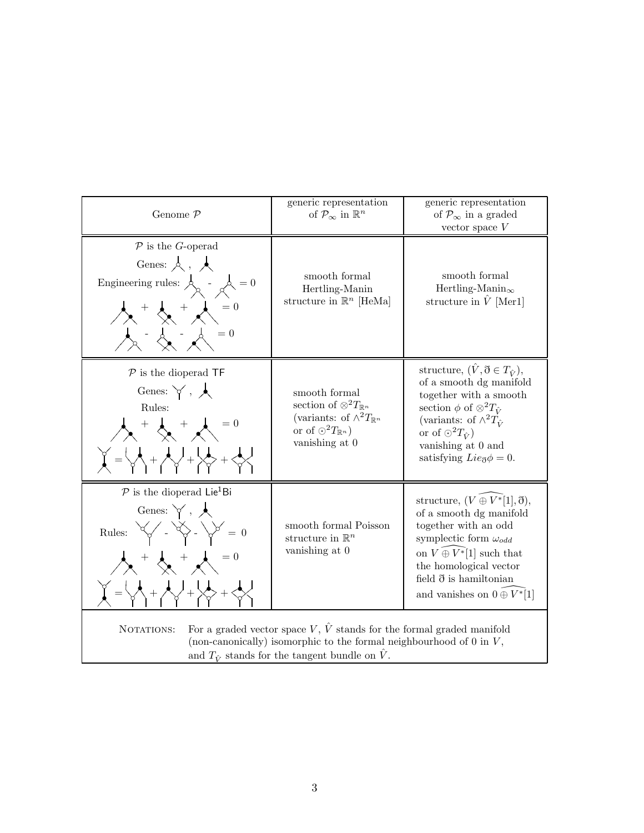| Genome $P$                                                                                                                                                                                                                                                                                                                              | generic representation<br>of $\mathcal{P}_{\infty}$ in $\mathbb{R}^n$                                                                                    | generic representation<br>of $\mathcal{P}_{\infty}$ in a graded<br>vector space $V$                                                                                                                                                                                                     |
|-----------------------------------------------------------------------------------------------------------------------------------------------------------------------------------------------------------------------------------------------------------------------------------------------------------------------------------------|----------------------------------------------------------------------------------------------------------------------------------------------------------|-----------------------------------------------------------------------------------------------------------------------------------------------------------------------------------------------------------------------------------------------------------------------------------------|
| $P$ is the G-operad<br>Genes: $\lambda$ , $\lambda$<br>Engineering rules: $\mathcal{A}_{\alpha}$ - $\mathcal{A}_{\alpha} = 0$<br>$\lambda$ + $\lambda$ + $\lambda$ = 0<br>$= 0$                                                                                                                                                         | smooth formal<br>Hertling-Manin<br>structure in $\mathbb{R}^n$ [HeMa]                                                                                    | smooth formal<br>Hertling-Manin $_{\infty}$<br>structure in $\hat{V}$ [Mer1]                                                                                                                                                                                                            |
| $P$ is the dioperad TF<br>Genes: $\forall$ , $\land$<br>Rules:<br>$\lambda + \lambda = 0$<br>$\begin{pmatrix} 1 & 1 \\ 1 & 1 \end{pmatrix} = \begin{pmatrix} 1 & 1 \\ 1 & 1 \end{pmatrix} + \begin{pmatrix} 1 & 1 \\ 1 & 1 \end{pmatrix} + \begin{pmatrix} 1 & 1 \\ 1 & 1 \end{pmatrix} + \begin{pmatrix} 1 & 1 \\ 1 & 1 \end{pmatrix}$ | smooth formal<br>section of $\otimes^2 T_{\mathbb{R}^n}$<br>(variants: of $\wedge^2 T_{\mathbb{R}^n}$<br>or of $O^2T_{\mathbb{R}^n}$ )<br>vanishing at 0 | structure, $(\hat{V}, \eth \in T_{\hat{V}})$ ,<br>of a smooth dg manifold<br>together with a smooth<br>section $\phi$ of $\otimes^2 T_{\hat{V}}$<br>(variants: of $\wedge^2 T_{\hat{V}}$<br>or of $\odot^2 T_{\hat{V}}$<br>vanishing at 0 and<br>satisfying $Lie_{\mathfrak{F}}\phi=0.$ |
| $P$ is the dioperad Lie <sup>1</sup> Bi<br>Genes: $\forall$ , $\blacktriangle$<br>Rules: $\forall \swarrow - \forall \searrow - \forall \searrow = 0$<br>$\lambda^+ \lambda^-$                                                                                                                                                          | smooth formal Poisson<br>structure in $\mathbb{R}^n$<br>vanishing at 0                                                                                   | structure, $(V \oplus V^*[1], \eth),$<br>of a smooth dg manifold<br>together with an odd<br>symplectic form $\omega_{odd}$<br>on $V \oplus V^*[1]$ such that<br>the homological vector<br>field $\eth$ is hamiltonian<br>and vanishes on $0 \oplus V^*$ [1]                             |
| For a graded vector space V, $\hat{V}$ stands for the formal graded manifold<br>NOTATIONS:<br>(non-canonically) isomorphic to the formal neighbourhood of $0$ in $V$ ,<br>and $T_{\hat{V}}$ stands for the tangent bundle on $\hat{V}$ .                                                                                                |                                                                                                                                                          |                                                                                                                                                                                                                                                                                         |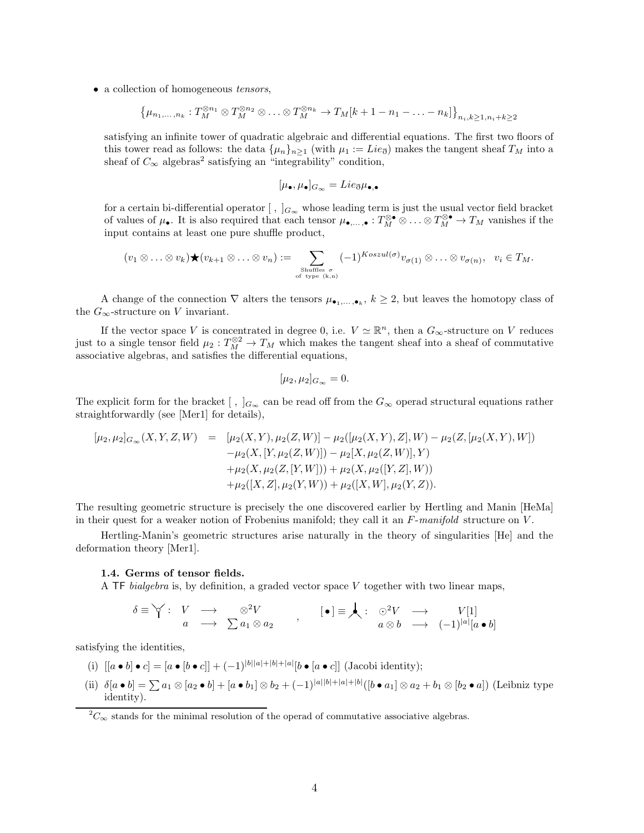• a collection of homogeneous *tensors*,

$$
\{\mu_{n_1,\ldots,n_k}:T_M^{\otimes n_1}\otimes T_M^{\otimes n_2}\otimes\ldots\otimes T_M^{\otimes n_k}\to T_M[k+1-n_1-\ldots-n_k]\}_{n_i,k\geq 1,n_i+k\geq 2}
$$

satisfying an infinite tower of quadratic algebraic and differential equations. The first two floors of this tower read as follows: the data  $\{\mu_n\}_{n>1}$  (with  $\mu_1 := Lie_{\mathfrak{F}}$ ) makes the tangent sheaf  $T_M$  into a sheaf of  $C_{\infty}$  algebras<sup>2</sup> satisfying an "integrability" condition,

$$
[\mu_{\bullet}, \mu_{\bullet}]_{G_{\infty}} = Lie_{\eth}\mu_{\bullet,\bullet}
$$

for a certain bi-differential operator  $[ , ]_{G_{\infty}}$  whose leading term is just the usual vector field bracket of values of  $\mu_{\bullet}$ . It is also required that each tensor  $\mu_{\bullet,\ldots,\bullet}: T_M^{\otimes \bullet} \otimes \ldots \otimes T_M^{\otimes \bullet} \to T_M$  vanishes if the input contains at least one pure shuffle product,

$$
(v_1 \otimes \ldots \otimes v_k) \bigstar (v_{k+1} \otimes \ldots \otimes v_n) := \sum_{\substack{\text{Shuffies } \sigma \\ \text{of type } (k,n)}} (-1)^{Koszul(\sigma)} v_{\sigma(1)} \otimes \ldots \otimes v_{\sigma(n)}, \quad v_i \in T_M.
$$

A change of the connection  $\nabla$  alters the tensors  $\mu_{\bullet_1,\ldots,\bullet_k}$ ,  $k\geq 2$ , but leaves the homotopy class of the  $G_{\infty}$ -structure on V invariant.

If the vector space V is concentrated in degree 0, i.e.  $V \simeq \mathbb{R}^n$ , then a  $G_{\infty}$ -structure on V reduces just to a single tensor field  $\mu_2: T_M^{\otimes 2} \to T_M$  which makes the tangent sheaf into a sheaf of commutative associative algebras, and satisfies the differential equations,

$$
[\mu_2, \mu_2]_{G_{\infty}} = 0.
$$

The explicit form for the bracket  $\lceil$ ,  $\lceil_{G_{\infty}}$  can be read off from the  $G_{\infty}$  operad structural equations rather straightforwardly (see [Mer1] for details),

$$
\begin{array}{rcl}\n[\mu_2, \mu_2]_{G_{\infty}}(X, Y, Z, W) & = & [\mu_2(X, Y), \mu_2(Z, W)] - \mu_2([ \mu_2(X, Y), Z], W) - \mu_2(Z, [\mu_2(X, Y), W]) \\
&- \mu_2(X, [Y, \mu_2(Z, W)]) - \mu_2[X, \mu_2(Z, W)], Y) \\
& & + \mu_2(X, \mu_2(Z, [Y, W])) + \mu_2(X, \mu_2([Y, Z], W)) \\
& & + \mu_2([X, Z], \mu_2(Y, W)) + \mu_2([X, W], \mu_2(Y, Z)).\n\end{array}
$$

The resulting geometric structure is precisely the one discovered earlier by Hertling and Manin [HeMa] in their quest for a weaker notion of Frobenius manifold; they call it an  $F\text{-}manifold$  structure on  $V$ .

Hertling-Manin's geometric structures arise naturally in the theory of singularities [He] and the deformation theory [Mer1].

#### 1.4. Germs of tensor fields.

A TF bialgebra is, by definition, a graded vector space V together with two linear maps,

$$
\delta \equiv \bigvee : \begin{array}{ccc} V & \longrightarrow & \otimes^2 V \\ a & \longrightarrow & \sum a_1 \otimes a_2 \end{array} , \qquad [\bullet] \equiv \bigwedge : \begin{array}{ccc} \odot^2 V & \longrightarrow & V[1] \\ a \otimes b & \longrightarrow & (-1)^{|a|} [a \bullet b] \end{array}
$$

satisfying the identities,

(i)  $[[a \bullet b] \bullet c] = [a \bullet [b \bullet c]] + (-1)^{|b||a|+|b|+|a|} [b \bullet [a \bullet c]]$  (Jacobi identity);

(ii)  $\delta[a \bullet b] = \sum a_1 \otimes [a_2 \bullet b] + [a \bullet b_1] \otimes b_2 + (-1)^{|a||b|+|a|+|b|} ([b \bullet a_1] \otimes a_2 + b_1 \otimes [b_2 \bullet a])$  (Leibniz type identity).

 ${}^{2}C_{\infty}$  stands for the minimal resolution of the operad of commutative associative algebras.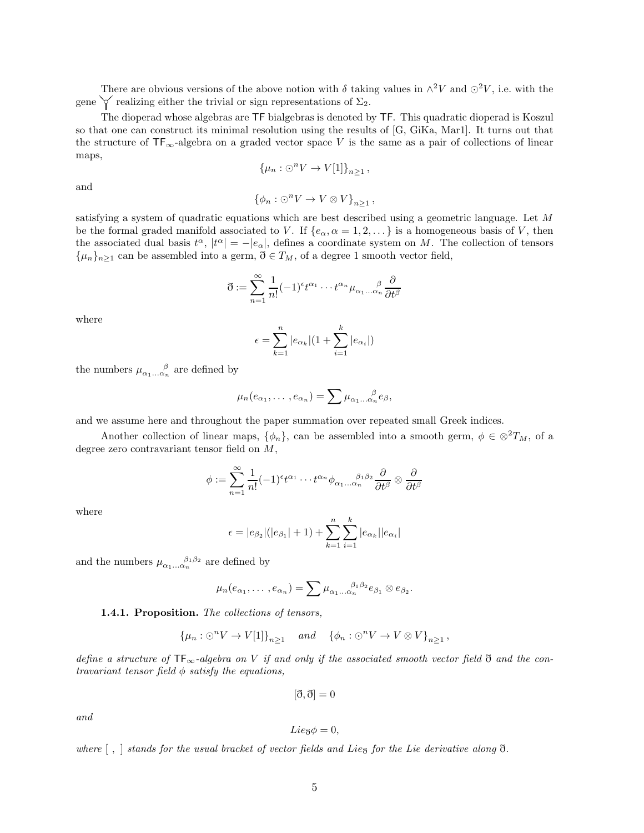There are obvious versions of the above notion with  $\delta$  taking values in  $\wedge^2 V$  and  $\odot^2 V$ , i.e. with the gene  $\checkmark$  realizing either the trivial or sign representations of  $\Sigma_2$ .

The dioperad whose algebras are TF bialgebras is denoted by TF. This quadratic dioperad is Koszul so that one can construct its minimal resolution using the results of [G, GiKa, Mar1]. It turns out that the structure of  $TF_{\infty}$ -algebra on a graded vector space V is the same as a pair of collections of linear maps,

$$
\{\mu_n : \odot^n V \to V[1]\}_{n \ge 1},
$$

and

$$
\{\phi_n : \odot^n V \to V \otimes V\}_{n \ge 1},
$$

satisfying a system of quadratic equations which are best described using a geometric language. Let M be the formal graded manifold associated to V. If  $\{e_{\alpha}, \alpha = 1, 2, \dots\}$  is a homogeneous basis of V, then the associated dual basis  $t^{\alpha}$ ,  $|t^{\alpha}| = -|e_{\alpha}|$ , defines a coordinate system on M. The collection of tensors  $\{\mu_n\}_{n\geq 1}$  can be assembled into a germ,  $\eth \in T_M$ , of a degree 1 smooth vector field,

$$
\mathfrak{d} := \sum_{n=1}^{\infty} \frac{1}{n!} (-1)^{\epsilon} t^{\alpha_1} \cdots t^{\alpha_n} \mu_{\alpha_1 \ldots \alpha_n} \frac{\partial}{\partial t^{\beta}}
$$

where

$$
\epsilon = \sum_{k=1}^{n} |e_{\alpha_k}| (1 + \sum_{i=1}^{k} |e_{\alpha_i}|)
$$

the numbers  $\mu_{\alpha_1...\alpha_n}^{\qquad \beta}$  are defined by

$$
\mu_n(e_{\alpha_1},\ldots,e_{\alpha_n})=\sum \mu_{\alpha_1\ldots\alpha_n}e_{\beta},
$$

and we assume here and throughout the paper summation over repeated small Greek indices.

Another collection of linear maps,  $\{\phi_n\}$ , can be assembled into a smooth germ,  $\phi \in \otimes^2 T_M$ , of a degree zero contravariant tensor field on M,

$$
\phi := \sum_{n=1}^{\infty} \frac{1}{n!} (-1)^{\epsilon} t^{\alpha_1} \cdots t^{\alpha_n} \phi_{\alpha_1 \ldots \alpha_n}{}^{\beta_1 \beta_2} \frac{\partial}{\partial t^{\beta}} \otimes \frac{\partial}{\partial t^{\beta}}
$$

where

$$
\epsilon = |e_{\beta_2}|(|e_{\beta_1}| + 1) + \sum_{k=1}^n \sum_{i=1}^k |e_{\alpha_k}||e_{\alpha_i}|
$$

and the numbers  $\mu_{\alpha_1...\alpha_n}^{\beta_1\beta_2}$  are defined by

$$
\mu_n(e_{\alpha_1},\ldots,e_{\alpha_n})=\sum \mu_{\alpha_1\ldots\alpha_n}^{\beta_1\beta_2}e_{\beta_1}\otimes e_{\beta_2}.
$$

#### 1.4.1. Proposition. The collections of tensors,

$$
\{\mu_n : \odot^n V \to V[1]\}_{n \ge 1} \quad and \quad \{\phi_n : \odot^n V \to V \otimes V\}_{n \ge 1},
$$

define a structure of  $TF_{\infty}$ -algebra on V if and only if the associated smooth vector field  $\eth$  and the contravariant tensor field  $\phi$  satisfy the equations,

$$
[\eth, \eth] = 0
$$

and

$$
Lie_{\eth}\phi=0,
$$

where  $\lceil$ ,  $\rceil$  stands for the usual bracket of vector fields and Lie<sub>ð</sub> for the Lie derivative along  $\eth$ .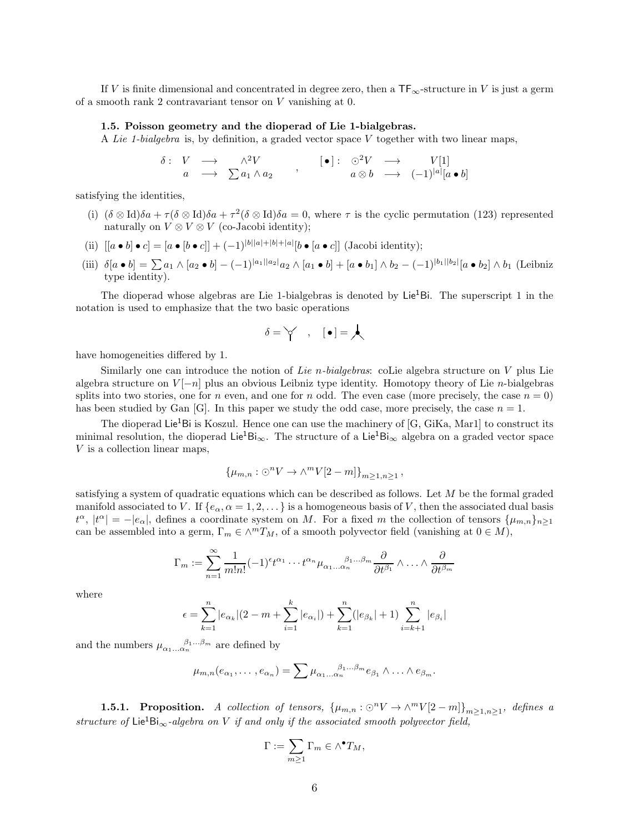If V is finite dimensional and concentrated in degree zero, then a  $TF_{\infty}$ -structure in V is just a germ of a smooth rank 2 contravariant tensor on V vanishing at 0.

#### 1.5. Poisson geometry and the dioperad of Lie 1-bialgebras.

A Lie 1-bialgebra is, by definition, a graded vector space  $V$  together with two linear maps,

$$
\begin{array}{ccccccccc}\n\delta: & V & \longrightarrow & \wedge^2 V & & & \textbf{[•]}: & \odot^2 V & \longrightarrow & V[1] \\
a & \longrightarrow & \sum a_1 \wedge a_2 & & & a \otimes b & \longrightarrow & (-1)^{|a|}[a \bullet b]\n\end{array}
$$

satisfying the identities,

- (i)  $(\delta \otimes \text{Id})\delta a + \tau (\delta \otimes \text{Id})\delta a + \tau^2 (\delta \otimes \text{Id})\delta a = 0$ , where  $\tau$  is the cyclic permutation (123) represented naturally on  $V \otimes V \otimes V$  (co-Jacobi identity);
- (ii)  $[[a \bullet b] \bullet c] = [a \bullet [b \bullet c]] + (-1)^{|b||a|+|b|+|a|} [b \bullet [a \bullet c]]$  (Jacobi identity);
- (iii)  $\delta[a \bullet b] = \sum a_1 \wedge [a_2 \bullet b] (-1)^{|a_1||a_2|} a_2 \wedge [a_1 \bullet b] + [a \bullet b_1] \wedge b_2 (-1)^{|b_1||b_2|} [a \bullet b_2] \wedge b_1$  (Leibniz type identity).

The dioperad whose algebras are Lie 1-bialgebras is denoted by  $\text{Lie}^1\text{Bi}$ . The superscript 1 in the notation is used to emphasize that the two basic operations

$$
\delta = \bigtriangledown \quad , \quad [\,\bullet\,] = \bigwedge
$$

have homogeneities differed by 1.

Similarly one can introduce the notion of Lie n-bialgebras: coLie algebra structure on  $V$  plus Lie algebra structure on  $V[-n]$  plus an obvious Leibniz type identity. Homotopy theory of Lie n-bialgebras splits into two stories, one for n even, and one for n odd. The even case (more precisely, the case  $n = 0$ ) has been studied by Gan  $[G]$ . In this paper we study the odd case, more precisely, the case  $n = 1$ .

The dioperad Lie<sup>1</sup>Bi is Koszul. Hence one can use the machinery of  $[G, GiKa, Mar1]$  to construct its minimal resolution, the dioperad Lie<sup>1</sup>Bi<sub>∞</sub>. The structure of a Lie<sup>1</sup>Bi<sub>∞</sub> algebra on a graded vector space V is a collection linear maps,

$$
\{\mu_{m,n} : \odot^n V \to \wedge^m V[2-m]\}_{m \ge 1, n \ge 1},
$$

satisfying a system of quadratic equations which can be described as follows. Let M be the formal graded manifold associated to V. If  $\{e_{\alpha}, \alpha = 1, 2, \dots\}$  is a homogeneous basis of V, then the associated dual basis  $t^{\alpha}$ ,  $|t^{\alpha}| = -|e_{\alpha}|$ , defines a coordinate system on M. For a fixed m the collection of tensors  $\{\mu_{m,n}\}_{n\geq 1}$ can be assembled into a germ,  $\Gamma_m \in \wedge^m T_M$ , of a smooth polyvector field (vanishing at  $0 \in M$ ),

$$
\Gamma_m := \sum_{n=1}^{\infty} \frac{1}{m!n!} (-1)^{\epsilon} t^{\alpha_1} \cdots t^{\alpha_n} \mu_{\alpha_1 \ldots \alpha_n}^{\beta_1 \ldots \beta_m} \frac{\partial}{\partial t^{\beta_1}} \wedge \ldots \wedge \frac{\partial}{\partial t^{\beta_m}}
$$

where

$$
\epsilon = \sum_{k=1}^{n} |e_{\alpha_k}|(2 - m + \sum_{i=1}^{k} |e_{\alpha_i}|) + \sum_{k=1}^{n} (|e_{\beta_k}| + 1) \sum_{i=k+1}^{n} |e_{\beta_i}|
$$

and the numbers  $\mu_{\alpha_1...\alpha_n}^{\beta_1...\beta_m}$  are defined by

$$
\mu_{m,n}(e_{\alpha_1},\ldots,e_{\alpha_n})=\sum \mu_{\alpha_1\ldots\alpha_n}^{\beta_1\ldots\beta_m}e_{\beta_1}\wedge\ldots\wedge e_{\beta_m}.
$$

**1.5.1. Proposition.** A collection of tensors,  $\{\mu_{m,n} : \odot^n V \to \wedge^m V[2-m]\}_{m \geq 1, n \geq 1}$ , defines a structure of Lie<sup>1</sup>Bi<sub>∞</sub>-algebra on V if and only if the associated smooth polyvector field,

$$
\Gamma := \sum_{m \ge 1} \Gamma_m \in \wedge^{\bullet} T_M,
$$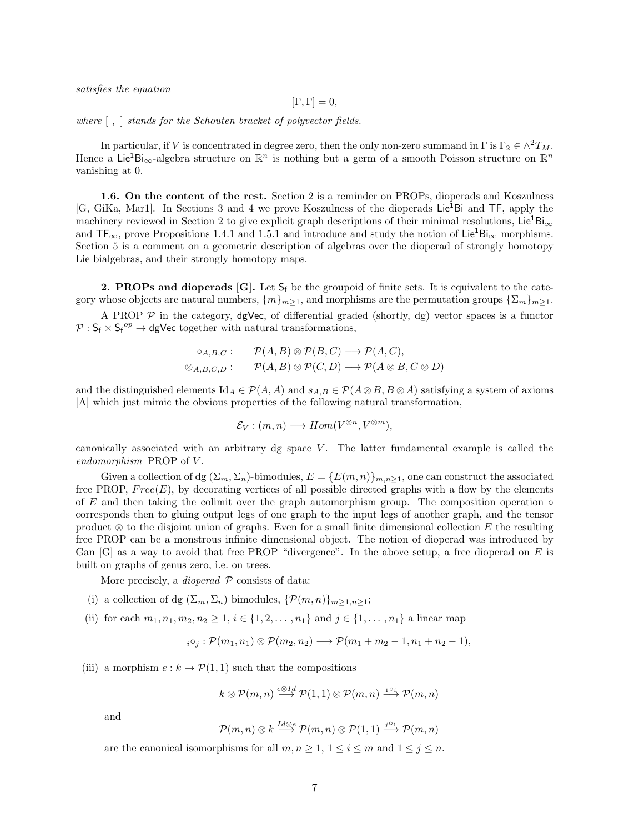satisfies the equation

$$
[\Gamma,\Gamma]=0,
$$

where [ , ] stands for the Schouten bracket of polyvector fields.

In particular, if V is concentrated in degree zero, then the only non-zero summand in  $\Gamma$  is  $\Gamma_2 \in \wedge^2 T_M$ . Hence a Lie<sup>1</sup>Bi<sub>∞</sub>-algebra structure on  $\mathbb{R}^n$  is nothing but a germ of a smooth Poisson structure on  $\mathbb{R}^n$ vanishing at 0.

1.6. On the content of the rest. Section 2 is a reminder on PROPs, dioperads and Koszulness [G, GiKa, Mar1]. In Sections 3 and 4 we prove Koszulness of the dioperads Lie<sup>1</sup>Bi and TF, apply the machinery reviewed in Section 2 to give explicit graph descriptions of their minimal resolutions, Lie<sup>1</sup>Bi<sub>∞</sub> and  $TF_{\infty}$ , prove Propositions 1.4.1 and 1.5.1 and introduce and study the notion of Lie<sup>1</sup>Bi<sub>∞</sub> morphisms. Section 5 is a comment on a geometric description of algebras over the dioperad of strongly homotopy Lie bialgebras, and their strongly homotopy maps.

**2. PROPs and dioperads [G].** Let  $S_f$  be the groupoid of finite sets. It is equivalent to the category whose objects are natural numbers,  $\{m\}_{m\geq 1}$ , and morphisms are the permutation groups  $\{\sum_{m}\}_{m\geq 1}$ .

A PROP  $P$  in the category, dgVec, of differential graded (shortly, dg) vector spaces is a functor  $\mathcal{P}: \mathsf{S}_{\mathsf{f}} \times \mathsf{S}_{\mathsf{f}}^{op} \to \mathsf{dgVec}$  together with natural transformations,

$$
\circ_{A,B,C} : \qquad \mathcal{P}(A,B) \otimes \mathcal{P}(B,C) \longrightarrow \mathcal{P}(A,C),
$$
  

$$
\otimes_{A,B,C,D} : \qquad \mathcal{P}(A,B) \otimes \mathcal{P}(C,D) \longrightarrow \mathcal{P}(A \otimes B, C \otimes D)
$$

and the distinguished elements  $\mathrm{Id}_A \in \mathcal{P}(A, A)$  and  $s_{A,B} \in \mathcal{P}(A \otimes B, B \otimes A)$  satisfying a system of axioms [A] which just mimic the obvious properties of the following natural transformation,

$$
\mathcal{E}_V : (m, n) \longrightarrow Hom(V^{\otimes n}, V^{\otimes m}),
$$

canonically associated with an arbitrary dg space  $V$ . The latter fundamental example is called the endomorphism PROP of V.

Given a collection of dg  $(\Sigma_m, \Sigma_n)$ -bimodules,  $E = \{E(m, n)\}_{m,n \geq 1}$ , one can construct the associated free PROP,  $Free(E)$ , by decorating vertices of all possible directed graphs with a flow by the elements of E and then taking the colimit over the graph automorphism group. The composition operation  $\circ$ corresponds then to gluing output legs of one graph to the input legs of another graph, and the tensor product  $\otimes$  to the disjoint union of graphs. Even for a small finite dimensional collection E the resulting free PROP can be a monstrous infinite dimensional object. The notion of dioperad was introduced by Gan [G] as a way to avoid that free PROP "divergence". In the above setup, a free dioperad on E is built on graphs of genus zero, i.e. on trees.

More precisely, a *dioperad*  $P$  consists of data:

- (i) a collection of dg  $(\Sigma_m, \Sigma_n)$  bimodules,  $\{\mathcal{P}(m, n)\}_{m>1,n>1}$ ;
- (ii) for each  $m_1, n_1, m_2, n_2 \geq 1$ ,  $i \in \{1, 2, ..., n_1\}$  and  $j \in \{1, ..., n_1\}$  a linear map

 $i \circ_j : \mathcal{P}(m_1, n_1) \otimes \mathcal{P}(m_2, n_2) \longrightarrow \mathcal{P}(m_1 + m_2 - 1, n_1 + n_2 - 1),$ 

(iii) a morphism  $e : k \to \mathcal{P}(1, 1)$  such that the compositions

$$
k \otimes \mathcal{P}(m,n) \stackrel{e \otimes Id}{\longrightarrow} \mathcal{P}(1,1) \otimes \mathcal{P}(m,n) \stackrel{1 \circ i.}{\longrightarrow} \mathcal{P}(m,n)
$$

and

$$
\mathcal{P}(m,n) \otimes k \stackrel{Id \otimes e}{\longrightarrow} \mathcal{P}(m,n) \otimes \mathcal{P}(1,1) \stackrel{j \circ 1}{\longrightarrow} \mathcal{P}(m,n)
$$

are the canonical isomorphisms for all  $m, n \geq 1, 1 \leq i \leq m$  and  $1 \leq j \leq n$ .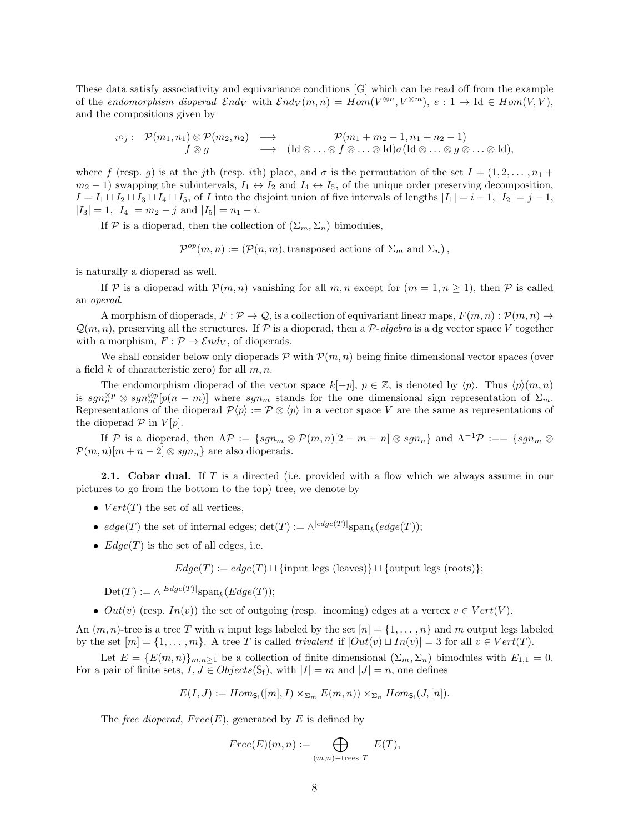These data satisfy associativity and equivariance conditions [G] which can be read off from the example of the endomorphism dioperad  $\mathcal{E}nd_V$  with  $\mathcal{E}nd_V(m,n) = Hom(V^{\otimes n}, V^{\otimes m})$ ,  $e: 1 \to \text{Id} \in Hom(V, V)$ , and the compositions given by

$$
i^{\circ}j: \begin{array}{ccc} \mathcal{P}(m_1,n_1) \otimes \mathcal{P}(m_2,n_2) & \longrightarrow & \mathcal{P}(m_1+m_2-1,n_1+n_2-1) \\ f \otimes g & \longrightarrow & (\mathrm{Id} \otimes \ldots \otimes f \otimes \ldots \otimes \mathrm{Id}) \sigma(\mathrm{Id} \otimes \ldots \otimes g \otimes \ldots \otimes \mathrm{Id}), \end{array}
$$

where f (resp. g) is at the jth (resp. ith) place, and  $\sigma$  is the permutation of the set  $I = (1, 2, \ldots, n_1 + \cdots + n_n)$  $m_2 - 1$ ) swapping the subintervals,  $I_1 \leftrightarrow I_2$  and  $I_4 \leftrightarrow I_5$ , of the unique order preserving decomposition,  $I = I_1 \sqcup I_2 \sqcup I_3 \sqcup I_4 \sqcup I_5$ , of I into the disjoint union of five intervals of lengths  $|I_1| = i - 1$ ,  $|I_2| = j - 1$ ,  $|I_3| = 1$ ,  $|I_4| = m_2 - j$  and  $|I_5| = n_1 - i$ .

If P is a dioperad, then the collection of  $(\Sigma_m, \Sigma_n)$  bimodules,

 $\mathcal{P}^{op}(m,n) := (\mathcal{P}(n,m), \text{transposed actions of } \Sigma_m \text{ and } \Sigma_n),$ 

is naturally a dioperad as well.

If P is a dioperad with  $P(m, n)$  vanishing for all  $m, n$  except for  $(m = 1, n \ge 1)$ , then P is called an operad.

A morphism of dioperads,  $F: \mathcal{P} \to \mathcal{Q}$ , is a collection of equivariant linear maps,  $F(m, n): \mathcal{P}(m, n) \to$  $\mathcal{Q}(m, n)$ , preserving all the structures. If P is a dioperad, then a P-algebra is a dg vector space V together with a morphism,  $F : \mathcal{P} \to \mathcal{E}nd_V$ , of dioperads.

We shall consider below only dioperads  $P$  with  $P(m, n)$  being finite dimensional vector spaces (over a field  $k$  of characteristic zero) for all  $m, n$ .

The endomorphism dioperad of the vector space  $k[-p], p \in \mathbb{Z}$ , is denoted by  $\langle p \rangle$ . Thus  $\langle p \rangle(m, n)$ is  $sgn_{m}^{\otimes p} \otimes sgn_{m}^{\otimes p}[p(n-m)]$  where  $sgn_{m}$  stands for the one dimensional sign representation of  $\Sigma_{m}$ . Representations of the dioperad  $\mathcal{P}\langle p \rangle := \mathcal{P} \otimes \langle p \rangle$  in a vector space V are the same as representations of the dioperad  $P$  in  $V[p]$ .

If P is a dioperad, then  $\Lambda \mathcal{P} := \{sgn_m \otimes \mathcal{P}(m,n)[2 - m - n] \otimes sgn_n\}$  and  $\Lambda^{-1} \mathcal{P} := \{sgn_m \otimes$  $\mathcal{P}(m, n)[m + n - 2] \otimes sgn_n$  are also dioperads.

**2.1.** Cobar dual. If T is a directed (i.e. provided with a flow which we always assume in our pictures to go from the bottom to the top) tree, we denote by

- $Vert(T)$  the set of all vertices,
- $edge(T)$  the set of internal edges;  $\det(T) := \wedge^{|edge(T)|} \text{span}_k(edge(T));$
- $Edge(T)$  is the set of all edges, i.e.

 $Edge(T) := edge(T) \sqcup \{ \text{input legs (leaves)} \} \sqcup \{ \text{output legs (roots)} \};$ 

 $\mathrm{Det}(T) := \wedge^{|Edge(T)|} \mathrm{span}_k(Edge(T));$ 

•  $Out(v)$  (resp.  $In(v)$ ) the set of outgoing (resp. incoming) edges at a vertex  $v \in Vert(V)$ .

An  $(m, n)$ -tree is a tree T with n input legs labeled by the set  $[n] = \{1, \ldots, n\}$  and m output legs labeled by the set  $[m] = \{1, \ldots, m\}$ . A tree T is called trivalent if  $|Out(v) \sqcup In(v)| = 3$  for all  $v \in Vert(T)$ .

Let  $E = \{E(m, n)\}_{m,n \geq 1}$  be a collection of finite dimensional  $(\Sigma_m, \Sigma_n)$  bimodules with  $E_{1,1} = 0$ . For a pair of finite sets,  $I, J \in Objects(S_f)$ , with  $|I| = m$  and  $|J| = n$ , one defines

$$
E(I, J) := Hom_{\mathsf{S}_{\mathsf{f}}}(m, I) \times_{\Sigma_m} E(m, n)) \times_{\Sigma_n} Hom_{\mathsf{S}_{\mathsf{f}}}(J, [n]).
$$

The free dioperad,  $Free(E)$ , generated by E is defined by

$$
Free(E)(m,n) := \bigoplus_{(m,n)-\text{trees }T} E(T),
$$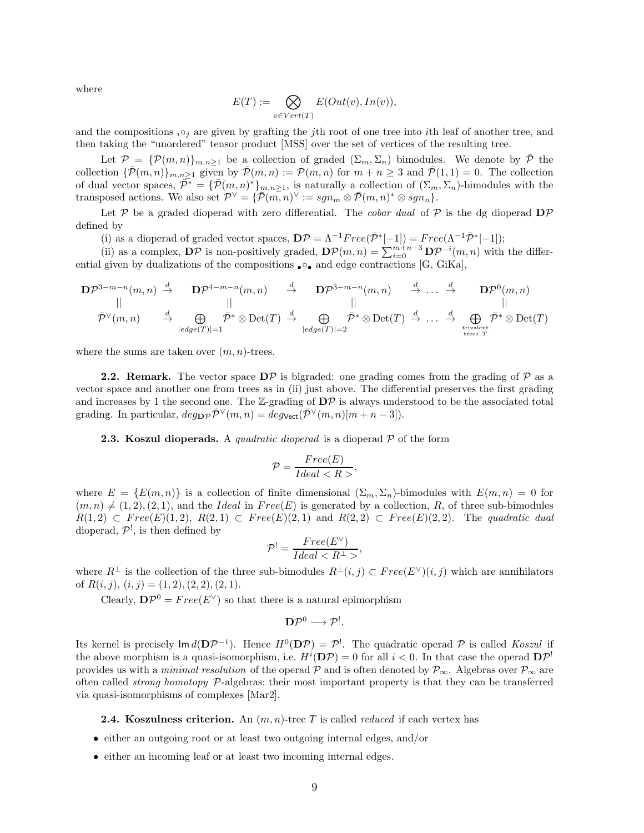where

$$
E(T) := \bigotimes_{v \in Vert(T)} E(Out(v), In(v)),
$$

and the compositions  $i \circ j$  are given by grafting the jth root of one tree into ith leaf of another tree, and then taking the "unordered" tensor product [MSS] over the set of vertices of the resulting tree.

Let  $\mathcal{P} = {\mathcal{P}(m,n)}_{m,n \geq 1}$  be a collection of graded  $(\Sigma_m, \Sigma_n)$  bimodules. We denote by  $\bar{\mathcal{P}}$  the collection  $\{\bar{\mathcal{P}}(m,n)\}_{m,n\geq 1}$  given by  $\bar{\mathcal{P}}(m,n) := \mathcal{P}(m,n)$  for  $m+n\geq 3$  and  $\bar{\mathcal{P}}(1,1) = 0$ . The collection of dual vector spaces,  $\overline{\mathcal{P}}^* = {\overline{\mathcal{P}}(m,n)^*}_{m,n \geq 1}$ , is naturally a collection of  $(\Sigma_m, \Sigma_n)$ -bimodules with the transposed actions. We also set  $\mathcal{P}^{\vee} = \{ \overline{\mathcal{P}}(m,n)^{\vee} := sgn_m \otimes \overline{\mathcal{P}}(m,n)^* \otimes sgn_n \}.$ 

Let P be a graded dioperad with zero differential. The *cobar dual* of P is the dg dioperad  $\mathbf{D}P$ defined by

(i) as a dioperad of graded vector spaces,  $\mathbf{D} \mathcal{P} = \Lambda^{-1} Free(\bar{\mathcal{P}}^{*}[-1]) = Free(\Lambda^{-1} \bar{\mathcal{P}}^{*}[-1])$ ;

(ii) as a complex,  $\mathbf{D}P$  is non-positively graded,  $\mathbf{D}P(m,n) = \sum_{i=0}^{m+n-3} \mathbf{D}P^{-i}(m,n)$  with the differential given by dualizations of the compositions •○• and edge contractions [G, GiKa],

$$
\begin{array}{ccccccc}\n\mathbf{D}\mathcal{P}^{3-m-n}(m,n) & \stackrel{d}{\rightarrow} & \mathbf{D}\mathcal{P}^{4-m-n}(m,n) & \stackrel{d}{\rightarrow} & \mathbf{D}\mathcal{P}^{3-m-n}(m,n) & \stackrel{d}{\rightarrow} & \ldots & \stackrel{d}{\rightarrow} & \mathbf{D}\mathcal{P}^{0}(m,n) \\
\parallel & & & & \parallel & & & \parallel \\
\hline\n\bar{\mathcal{P}}^{\vee}(m,n) & \stackrel{d}{\rightarrow} & \bigoplus_{|edge(T)|=1} & \bar{\mathcal{P}}^{*} \otimes \mathrm{Det}(T) & \stackrel{d}{\rightarrow} & \bigoplus_{|edge(T)|=2} & \bar{\mathcal{P}}^{*} \otimes \mathrm{Det}(T) & \stackrel{d}{\rightarrow} & \ldots & \stackrel{d}{\rightarrow} & \bigoplus_{\text{trivelent}} & \bar{\mathcal{P}}^{*} \otimes \mathrm{Det}(T)\n\end{array}
$$

where the sums are taken over  $(m, n)$ -trees.

**2.2. Remark.** The vector space  $D\mathcal{P}$  is bigraded: one grading comes from the grading of  $\mathcal{P}$  as a vector space and another one from trees as in (ii) just above. The differential preserves the first grading and increases by 1 the second one. The  $\mathbb{Z}$ -grading of  $\mathbf{D} \mathcal{P}$  is always understood to be the associated total grading. In particular,  $deg_{\mathbf{D}\mathcal{P}}\bar{\mathcal{P}}^{\vee}(m, n) = deg_{\mathsf{Vect}}(\bar{\mathcal{P}}^{\vee}(m, n)[m + n - 3]).$ 

**2.3. Koszul dioperads.** A *quadratic dioperad* is a dioperad  $P$  of the form

$$
\mathcal{P} = \frac{Free(E)}{Ideal < R} \,,
$$

where  $E = \{E(m, n)\}\$ is a collection of finite dimensional  $(\Sigma_m, \Sigma_n)$ -bimodules with  $E(m, n) = 0$  for  $(m, n) \neq (1, 2), (2, 1)$ , and the Ideal in Free(E) is generated by a collection, R, of three sub-bimodules  $R(1,2) \subset Free(E)(1,2), R(2,1) \subset Free(E)(2,1)$  and  $R(2,2) \subset Free(E)(2,2).$  The quadratic dual dioperad,  $\mathcal{P}^!$ , is then defined by

$$
\mathcal{P}^! = \frac{Free(E^{\vee})}{Ideal < R^{\perp} >},
$$

where  $R^{\perp}$  is the collection of the three sub-bimodules  $R^{\perp}(i,j) \subset Free(E^{\vee})(i,j)$  which are annihilators of  $R(i, j), (i, j) = (1, 2), (2, 2), (2, 1).$ 

Clearly,  $\mathbf{D}P^0 = Free(E^{\vee})$  so that there is a natural epimorphism

$$
\mathbf{D}\mathcal{P}^0 \longrightarrow \mathcal{P}^!.
$$

Its kernel is precisely  $\text{Im } d(DP^{-1})$ . Hence  $H^0(DP) = P^!$ . The quadratic operad P is called Koszul if the above morphism is a quasi-isomorphism, i.e.  $H^i(D\mathcal{P}) = 0$  for all  $i < 0$ . In that case the operad  $D\mathcal{P}^!$ provides us with a *minimal resolution* of the operad P and is often denoted by  $\mathcal{P}_{\infty}$ . Algebras over  $\mathcal{P}_{\infty}$  are often called *strong homotopy*  $P$ -algebras; their most important property is that they can be transferred via quasi-isomorphisms of complexes [Mar2].

**2.4. Koszulness criterion.** An  $(m, n)$ -tree T is called *reduced* if each vertex has

- either an outgoing root or at least two outgoing internal edges, and/or
- either an incoming leaf or at least two incoming internal edges.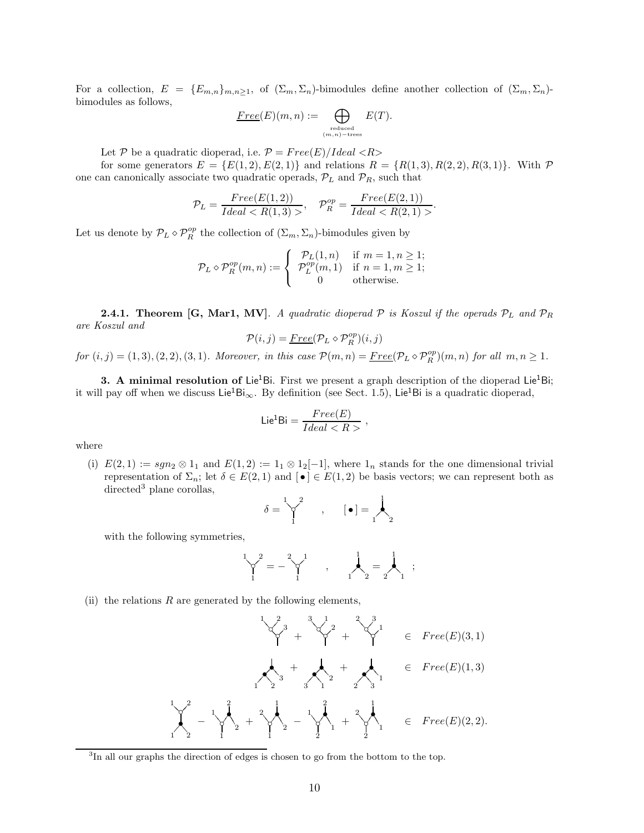For a collection,  $E = \{E_{m,n}\}_{m,n\geq 1}$ , of  $(\Sigma_m, \Sigma_n)$ -bimodules define another collection of  $(\Sigma_m, \Sigma_n)$ bimodules as follows,

$$
\underline{\underline{Free}}(E)(m,n):=\bigoplus_{\substack{\text{reduced}\\(m,n)-\text{trees}}}E(T).
$$

Let P be a quadratic dioperad, i.e.  $P = Free(E)/Ideal \langle R \rangle$ 

for some generators  $E = \{E(1, 2), E(2, 1)\}\$ and relations  $R = \{R(1, 3), R(2, 2), R(3, 1)\}\$ . With  $\mathcal{P}$ one can canonically associate two quadratic operads,  $\mathcal{P}_L$  and  $\mathcal{P}_R$ , such that

$$
\mathcal{P}_L = \frac{Free(E(1,2))}{Ideal < R(1,3) >}, \quad \mathcal{P}_R^{op} = \frac{Free(E(2,1))}{Ideal < R(2,1) >}.
$$

Let us denote by  $\mathcal{P}_L \diamond \mathcal{P}_R^{op}$  the collection of  $(\Sigma_m, \Sigma_n)$ -bimodules given by

$$
\mathcal{P}_L \diamond \mathcal{P}_R^{op}(m, n) := \begin{cases} \mathcal{P}_L(1, n) & \text{if } m = 1, n \ge 1; \\ \mathcal{P}_L^{op}(m, 1) & \text{if } n = 1, m \ge 1; \\ 0 & \text{otherwise.} \end{cases}
$$

**2.4.1. Theorem [G, Mar1, MV]**. A quadratic dioperad  $P$  is Koszul if the operads  $P_L$  and  $P_R$ are Koszul and

$$
\mathcal{P}(i,j) = \underline{Free}(\mathcal{P}_L \diamond \mathcal{P}_R^{op})(i,j)
$$

 $for (i, j) = (1, 3), (2, 2), (3, 1).$  Moreover, in this case  $\mathcal{P}(m, n) = \underline{Free}(\mathcal{P}_L \diamond \mathcal{P}_R^{op})(m, n)$  for all  $m, n \geq 1$ .

3. A minimal resolution of Lie<sup>1</sup>Bi. First we present a graph description of the dioperad Lie<sup>1</sup>Bi; it will pay off when we discuss Lie<sup>1</sup>Bi<sub>∞</sub>. By definition (see Sect. 1.5), Lie<sup>1</sup>Bi is a quadratic dioperad,

$$
\mathsf{Lie}^1\mathsf{Bi} = \frac{Free(E)}{Ideal < R} \;,
$$

where

(i)  $E(2,1) := sgn_2 \otimes 1_1$  and  $E(1,2) := 1_1 \otimes 1_2[-1]$ , where  $1_n$  stands for the one dimensional trivial representation of  $\Sigma_n$ ; let  $\delta \in E(2,1)$  and  $\{ \bullet \} \in E(1,2)$  be basis vectors; we can represent both as  $directed<sup>3</sup>$  plane corollas,

$$
\delta = \bigvee_1^2 \qquad , \qquad [\bullet] = \bigwedge_2^1
$$

with the following symmetries,

$$
\begin{bmatrix} 1 & 2 \\ 2 & 1 & 1 \end{bmatrix} = -\begin{bmatrix} 1 & 1 \\ 1 & 1 \end{bmatrix}, \qquad \begin{bmatrix} 1 & 1 \\ 1 & 2 \end{bmatrix} = \begin{bmatrix} 1 & 1 \\ 1 & 1 \end{bmatrix}
$$

(ii) the relations  $R$  are generated by the following elements,

◦ ◦? << 3 1 2 + ◦ ◦? << 2 3 1 + ◦ ◦? << 1 2 3 ∈ F ree(E)(3, 1) •?? •== <sup>3</sup> 1 2 <sup>+</sup> •?? •== <sup>2</sup> 3 1 <sup>+</sup> •?? •== <sup>1</sup> 2 3 ∈ F ree(E)(1, 3) ?? ◦ • 9 9 1 2 1 2 − 77 ◦ •3 3 3 1 2 2 1 + 77 ◦ •3 3 3 1 2 1 2 − 77 ◦ •3 3 3 2 1 2 1 + 77 ◦ •3 3 3 2 1 1 2 ∈ F ree(E)(2, 2).

<sup>&</sup>lt;sup>3</sup>In all our graphs the direction of edges is chosen to go from the bottom to the top.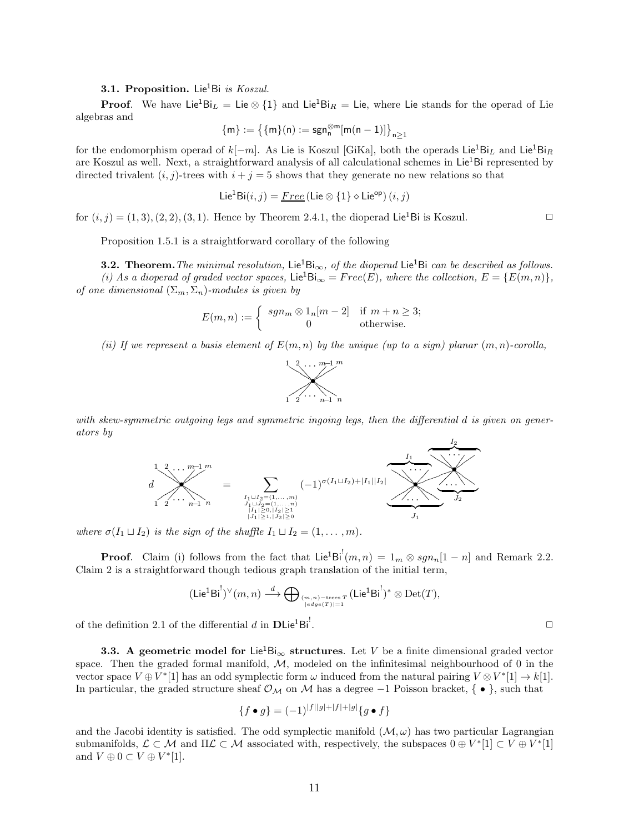#### **3.1. Proposition.** Lie<sup>1</sup>Bi is Koszul.

**Proof.** We have Lie<sup>1</sup>Bi<sub>L</sub> = Lie  $\otimes$  {1} and Lie<sup>1</sup>Bi<sub>R</sub> = Lie, where Lie stands for the operad of Lie algebras and

$$
\{m\}:=\big\{\{m\}(n):=\text{sgn}_n^{\otimes m}[m(n-1)]\big\}_{n\geq 1}
$$

for the endomorphism operad of  $k[-m]$ . As Lie is Koszul [GiKa], both the operads Lie<sup>1</sup>Bi<sub>L</sub> and Lie<sup>1</sup>Bi<sub>R</sub> are Koszul as well. Next, a straightforward analysis of all calculational schemes in  $Lie<sup>1</sup>Bi$  represented by directed trivalent  $(i, j)$ -trees with  $i + j = 5$  shows that they generate no new relations so that

$$
Lie^{1}Bi(i,j) = \underline{Free} (Lie \otimes \{1\} \diamond Lie^{op})(i,j)
$$

for  $(i, j) = (1, 3), (2, 2), (3, 1)$ . Hence by Theorem 2.4.1, the dioperad Lie<sup>1</sup>Bi is Koszul.

Proposition 1.5.1 is a straightforward corollary of the following

**3.2.** Theorem. The minimal resolution, Lie<sup>1</sup>Bi<sub>∞</sub>, of the dioperad Lie<sup>1</sup>Bi can be described as follows. (i) As a dioperad of graded vector spaces, Lie<sup>1</sup>Bi<sub>∞</sub> = Free(E), where the collection,  $E = \{E(m, n)\},$ of one dimensional  $(\Sigma_m, \Sigma_n)$ -modules is given by

$$
E(m, n) := \begin{cases} sgn_m \otimes 1_n[m-2] & \text{if } m+n \geq 3; \\ 0 & \text{otherwise.} \end{cases}
$$

(ii) If we represent a basis element of  $E(m, n)$  by the unique (up to a sign) planar  $(m, n)$ -corolla,



with skew-symmetric outgoing legs and symmetric ingoing legs, then the differential d is given on generators by



where  $\sigma(I_1 \sqcup I_2)$  is the sign of the shuffle  $I_1 \sqcup I_2 = (1, \ldots, m)$ .

**Proof.** Claim (i) follows from the fact that  $Lie^{1}Bi^{!}(m, n) = 1_{m} \otimes sgn_{n}[1 - n]$  and Remark 2.2. Claim 2 is a straightforward though tedious graph translation of the initial term,

$$
(\mathsf{Lie}^1\mathsf{Bi}^!)^\vee(m,n)\stackrel{d}{\longrightarrow} \bigoplus \,{}_{(m,n)-\mathsf{trees}\, T \atop |\mathit{edge}(T)|=1} (\mathsf{Lie}^1\mathsf{Bi}^!)^*\otimes \mathsf{Det}(T),
$$

of the definition 2.1 of the differential d in  $\text{DLie}^1\text{Bi}^!$ .

**3.3.** A geometric model for Lie<sup>1</sup>Bi<sub>∞</sub> structures. Let V be a finite dimensional graded vector space. Then the graded formal manifold,  $M$ , modeled on the infinitesimal neighbourhood of 0 in the vector space  $V \oplus V^* [1]$  has an odd symplectic form  $\omega$  induced from the natural pairing  $V \otimes V^* [1] \to k[1]$ . In particular, the graded structure sheaf  $\mathcal{O}_{\mathcal{M}}$  on  $\mathcal M$  has a degree  $-1$  Poisson bracket, { • }, such that

$$
\{f \bullet g\} = (-1)^{|f||g| + |f| + |g|} \{g \bullet f\}
$$

and the Jacobi identity is satisfied. The odd symplectic manifold  $(M, \omega)$  has two particular Lagrangian submanifolds,  $\mathcal{L} \subset \mathcal{M}$  and  $\Pi \mathcal{L} \subset \mathcal{M}$  associated with, respectively, the subspaces  $0 \oplus V^*[1] \subset V \oplus V^*[1]$ and  $V \oplus 0 \subset V \oplus V^*[1]$ .

. ✷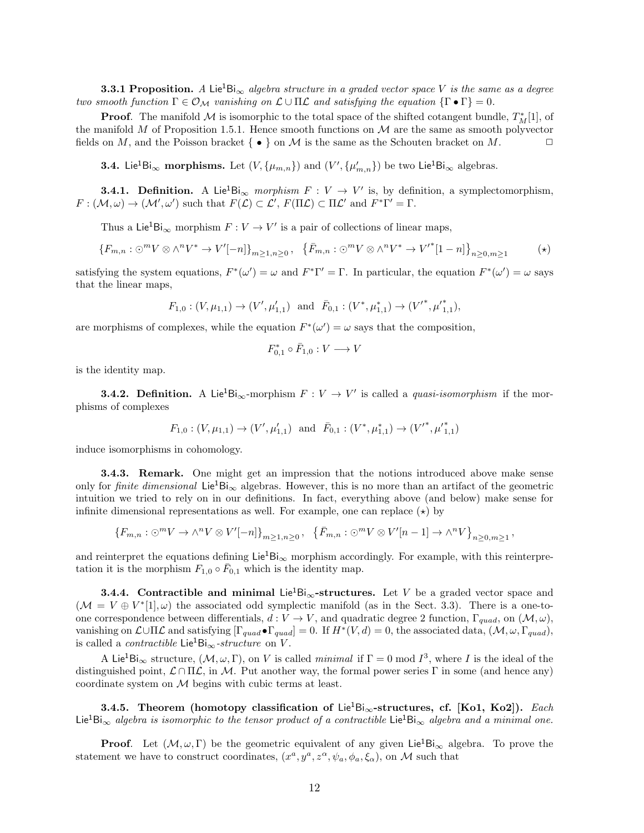**3.3.1 Proposition.** A Lie<sup>1</sup>Bi<sub>∞</sub> algebra structure in a graded vector space V is the same as a degree two smooth function  $\Gamma \in \mathcal{O}_\mathcal{M}$  vanishing on  $\mathcal{L} \cup \Pi \mathcal{L}$  and satisfying the equation  $\{\Gamma \bullet \Gamma\} = 0$ .

**Proof.** The manifold M is isomorphic to the total space of the shifted cotangent bundle,  $T_M^*[1]$ , of the manifold M of Proposition 1.5.1. Hence smooth functions on  $\mathcal M$  are the same as smooth polyvector fields on M, and the Poisson bracket  $\{\bullet\}$  on M is the same as the Schouten bracket on M.

**3.4.** Lie<sup>1</sup>Bi<sub>∞</sub> morphisms. Let  $(V, \{\mu_{m,n}\})$  and  $(V', \{\mu'_{m,n}\})$  be two Lie<sup>1</sup>Bi<sub>∞</sub> algebras.

**3.4.1. Definition.** A Lie<sup>1</sup>Bi<sub>∞</sub> morphism  $F: V \to V'$  is, by definition, a symplectomorphism,  $F: (\mathcal{M}, \omega) \to (\mathcal{M}', \omega')$  such that  $F(\mathcal{L}) \subset \mathcal{L}', F(\Pi \mathcal{L}) \subset \Pi \mathcal{L}'$  and  $F^* \Gamma' = \Gamma$ .

Thus a Lie<sup>1</sup>Bi<sub>∞</sub> morphism  $F: V \to V'$  is a pair of collections of linear maps,

$$
\{F_{m,n}:\bigcirc^m V\otimes\wedge^n V^*\to V'[-n]\}_{m\geq 1,n\geq 0},\ \{\bar{F}_{m,n}:\bigcirc^m V\otimes\wedge^n V^*\to V'^*[1-n]\}_{n\geq 0,m\geq 1}\tag{\star}
$$

satisfying the system equations,  $F^*(\omega') = \omega$  and  $F^*\Gamma' = \Gamma$ . In particular, the equation  $F^*(\omega') = \omega$  says that the linear maps,

$$
F_{1,0} : (V, \mu_{1,1}) \to (V', \mu'_{1,1})
$$
 and  $\bar{F}_{0,1} : (V^*, \mu^*_{1,1}) \to (V'^*, {\mu'}^*_{1,1}),$ 

are morphisms of complexes, while the equation  $F^*(\omega') = \omega$  says that the composition,

$$
F_{0,1}^*\circ \bar{F}_{1,0}:V\longrightarrow V
$$

is the identity map.

**3.4.2. Definition.** A Lie<sup>1</sup>Bi<sub>∞</sub>-morphism  $F: V \to V'$  is called a *quasi-isomorphism* if the morphisms of complexes

$$
F_{1,0} : (V, \mu_{1,1}) \to (V', \mu'_{1,1})
$$
 and  $\bar{F}_{0,1} : (V^*, \mu^*_{1,1}) \to (V'^*, {\mu'}^*_{1,1})$ 

induce isomorphisms in cohomology.

3.4.3. Remark. One might get an impression that the notions introduced above make sense only for *finite dimensional* Lie<sup>1</sup>Bi<sub>∞</sub> algebras. However, this is no more than an artifact of the geometric intuition we tried to rely on in our definitions. In fact, everything above (and below) make sense for infinite dimensional representations as well. For example, one can replace  $(\star)$  by

$$
\left\{F_{m,n}:\bigcirc^m V\to \wedge^n V\otimes V'[-n]\right\}_{m\geq 1,n\geq 0},\ \left\{\bar{F}_{m,n}:\bigcirc^m V\otimes V'[n-1]\to \wedge^n V\right\}_{n\geq 0,m\geq 1},
$$

and reinterpret the equations defining Lie<sup>1</sup>Bi<sub>∞</sub> morphism accordingly. For example, with this reinterpretation it is the morphism  $F_{1,0} \circ \bar{F}_{0,1}$  which is the identity map.

**3.4.4.** Contractible and minimal Lie<sup>1</sup>Bi<sub>∞</sub>-structures. Let V be a graded vector space and  $(\mathcal{M} = V \oplus V^*[1], \omega)$  the associated odd symplectic manifold (as in the Sect. 3.3). There is a one-toone correspondence between differentials,  $d: V \to V$ , and quadratic degree 2 function,  $\Gamma_{quad}$ , on  $(\mathcal{M}, \omega)$ , vanishing on  $\mathcal{L} \cup \Pi \mathcal{L}$  and satisfying  $[\Gamma_{quad} \bullet \Gamma_{quad}] = 0$ . If  $H^*(V, d) = 0$ , the associated data,  $(\mathcal{M}, \omega, \Gamma_{quad})$ , is called a *contractible* Lie<sup>1</sup>Bi<sub>∞</sub>-structure on V.

A Lie<sup>1</sup>Bi<sub>∞</sub> structure,  $(M, \omega, \Gamma)$ , on V is called *minimal* if  $\Gamma = 0 \mod I^3$ , where I is the ideal of the distinguished point,  $\mathcal{L} \cap \Pi \mathcal{L}$ , in M. Put another way, the formal power series Γ in some (and hence any) coordinate system on M begins with cubic terms at least.

3.4.5. Theorem (homotopy classification of Lie<sup>1</sup>Bi<sub>∞</sub>-structures, cf. [Ko1, Ko2]). Each Lie<sup>1</sup>Bi<sub>∞</sub> algebra is isomorphic to the tensor product of a contractible Lie<sup>1</sup>Bi<sub>∞</sub> algebra and a minimal one.

**Proof.** Let  $(M, \omega, \Gamma)$  be the geometric equivalent of any given Lie<sup>1</sup>Bi<sub>∞</sub> algebra. To prove the statement we have to construct coordinates,  $(x^a, y^a, z^{\alpha}, \psi_a, \phi_a, \xi_{\alpha})$ , on M such that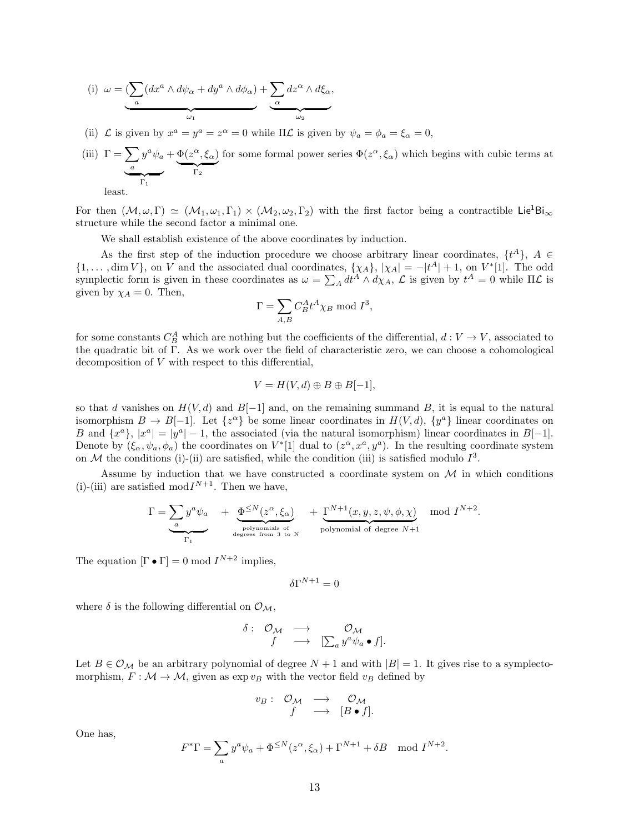(i) 
$$
\omega = \underbrace{\left(\sum_a (dx^a \wedge d\psi_\alpha + dy^a \wedge d\phi_\alpha) + \sum_\alpha dz^\alpha \wedge d\xi_\alpha, \cdots \right)}_{\omega_1}
$$

(ii)  $\mathcal L$  is given by  $x^a = y^a = z^{\alpha} = 0$  while  $\Pi \mathcal L$  is given by  $\psi_a = \phi_a = \xi_{\alpha} = 0$ ,

(iii)  $\Gamma = \sum$ a  $y^a \psi_a$  $\sum_{\Gamma_1}$  $+\Phi(z^{\alpha},\xi_{\alpha})$  $\sum_{\Gamma_2}$ for some formal power series  $\Phi(z^{\alpha}, \xi_{\alpha})$  which begins with cubic terms at

least.

For then  $(\mathcal{M}, \omega, \Gamma) \simeq (\mathcal{M}_1, \omega_1, \Gamma_1) \times (\mathcal{M}_2, \omega_2, \Gamma_2)$  with the first factor being a contractible Lie<sup>1</sup>Bi<sub>∞</sub> structure while the second factor a minimal one.

We shall establish existence of the above coordinates by induction.

As the first step of the induction procedure we choose arbitrary linear coordinates,  $\{t^A\}$ ,  $A \in$  $\{1,\ldots,\dim V\}$ , on V and the associated dual coordinates,  $\{\chi_A\}, |\chi_A| = -|t^A| + 1$ , on  $V^*[1]$ . The odd symplectic form is given in these coordinates as  $\omega = \sum_A dt^A \wedge d\chi_A$ ,  $\mathcal{L}$  is given by  $t^A = 0$  while  $\Pi \mathcal{L}$  is given by  $\chi_A = 0$ . Then,

$$
\Gamma = \sum_{A,B} C_B^A t^A \chi_B \text{ mod } I^3,
$$

for some constants  $C_B^A$  which are nothing but the coefficients of the differential,  $d: V \to V$ , associated to the quadratic bit of Γ. As we work over the field of characteristic zero, we can choose a cohomological decomposition of V with respect to this differential,

$$
V = H(V, d) \oplus B \oplus B[-1],
$$

so that d vanishes on  $H(V, d)$  and  $B[-1]$  and, on the remaining summand B, it is equal to the natural isomorphism  $B \to B[-1]$ . Let  $\{z^{\alpha}\}\$ be some linear coordinates in  $H(V, d)$ ,  $\{y^{a}\}\$ linear coordinates on B and  $\{x^a\}$ ,  $|x^a| = |y^a| - 1$ , the associated (via the natural isomorphism) linear coordinates in B[-1]. Denote by  $(\xi_\alpha, \psi_a, \phi_a)$  the coordinates on  $V^*[1]$  dual to  $(z^\alpha, x^a, y^a)$ . In the resulting coordinate system on M the conditions (i)-(ii) are satisfied, while the condition (iii) is satisfied modulo  $I^3$ .

Assume by induction that we have constructed a coordinate system on  $\mathcal M$  in which conditions (i)-(iii) are satisfied  $mod I^{N+1}$ . Then we have,

$$
\Gamma = \underbrace{\sum_{a} y^{a} \psi_{a}}_{\Gamma_{1}} + \underbrace{\Phi^{\leq N}(z^{\alpha}, \xi_{\alpha})}_{\text{polynomials of two polynomials of polynomials of polynomials of degree } N+1} + \underbrace{\Gamma^{N+1}(x, y, z, \psi, \phi, \chi)}_{\text{polynomial of degree } N+1} \mod I^{N+2}.
$$

The equation  $[\Gamma \bullet \Gamma] = 0 \text{ mod } I^{N+2}$  implies,

 $\delta\Gamma^{N+1}=0$ 

where  $\delta$  is the following differential on  $\mathcal{O}_{\mathcal{M}},$ 

$$
\begin{array}{cccc}\n\delta: & \mathcal{O}_{\mathcal{M}} & \longrightarrow & \mathcal{O}_{\mathcal{M}} \\
f & \longrightarrow & [\sum_a y^a \psi_a \bullet f].\n\end{array}
$$

Let  $B \in \mathcal{O}_\mathcal{M}$  be an arbitrary polynomial of degree  $N + 1$  and with  $|B| = 1$ . It gives rise to a symplectomorphism,  $F : \mathcal{M} \to \mathcal{M}$ , given as exp  $v_B$  with the vector field  $v_B$  defined by

$$
\begin{array}{cccc} v_B: & \mathcal{O}_{\mathcal{M}} & \longrightarrow & \mathcal{O}_{\mathcal{M}} \\ & f & \longrightarrow & [B \bullet f]. \end{array}
$$

One has,

$$
F^*\Gamma = \sum_a y^a \psi_a + \Phi^{\leq N}(z^\alpha, \xi_\alpha) + \Gamma^{N+1} + \delta B \mod I^{N+2}.
$$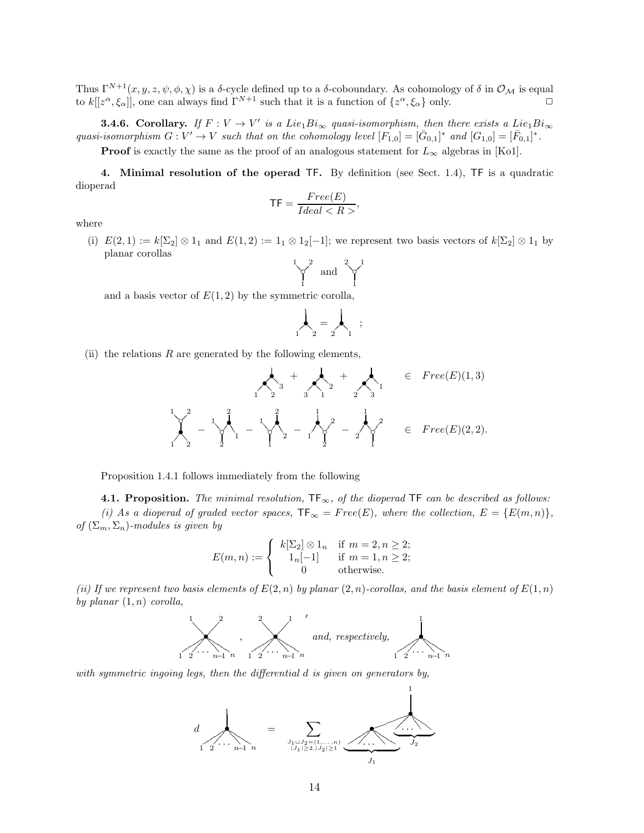Thus  $\Gamma^{N+1}(x, y, z, \psi, \phi, \chi)$  is a  $\delta$ -cycle defined up to a  $\delta$ -coboundary. As cohomology of  $\delta$  in  $\mathcal{O}_\mathcal{M}$  is equal to  $k[[z^{\alpha}, \xi_{\alpha}]]$ , one can always find  $\Gamma^{N+1}$  such that it is a function of  $\{z^{\alpha}, \xi_{\alpha}\}$  only.

**3.4.6.** Corollary. If  $F: V \to V'$  is a Lie<sub>1</sub>Bi<sub>∞</sub> quasi-isomorphism, then there exists a Lie<sub>1</sub>Bi<sub>∞</sub> quasi-isomorphism  $G: V' \to V$  such that on the cohomology level  $[F_{1,0}] = [\bar{G}_{0,1}]^*$  and  $[G_{1,0}] = [\bar{F}_{0,1}]^*$ .

**Proof** is exactly the same as the proof of an analogous statement for  $L_{\infty}$  algebras in [Ko1].

4. Minimal resolution of the operad TF. By definition (see Sect. 1.4), TF is a quadratic dioperad

$$
\mathsf{TF} = \frac{Free(E)}{Ideal < R}.
$$

where

(i)  $E(2, 1) := k[\Sigma_2] \otimes 1_1$  and  $E(1, 2) := 1_1 \otimes 1_2[-1]$ ; we represent two basis vectors of  $k[\Sigma_2] \otimes 1_1$  by planar corollas

$$
\bigvee_{1}^{1} \quad \text{and} \quad \bigvee_{1}^{2} \bigvee_{1}
$$

and a basis vector of  $E(1, 2)$  by the symmetric corolla,

$$
\bigwedge_{1}^{1} = \bigwedge_{2}^{1} ;
$$

(ii) the relations  $R$  are generated by the following elements,

 •?? •= = <sup>3</sup> 1 2 <sup>+</sup> •?? •= = <sup>2</sup> 3 1 <sup>+</sup> •?? •= = <sup>1</sup> 2 3 ∈ F ree(E)(1, 3) ?? ◦ • 99 1 2 1 2 − 7 7 ◦ •3 3 3 2 1 2 1 − 7 7 ◦ •3 3 3 1 2 2 1 − 7 7 ◦ • 2 1 1 2 − 7 7 ◦ • 1 2 1 2 ∈ F ree(E)(2, 2).

Proposition 1.4.1 follows immediately from the following

4.1. Proposition. The minimal resolution,  $TF_{\infty}$ , of the dioperad TF can be described as follows: (i) As a dioperad of graded vector spaces,  $TF_{\infty} = Free(E)$ , where the collection,  $E = \{E(m,n)\},$ of  $(\Sigma_m, \Sigma_n)$ -modules is given by

$$
E(m, n) := \begin{cases} k[\Sigma_2] \otimes 1_n & \text{if } m = 2, n \ge 2; \\ 1_n[-1] & \text{if } m = 1, n \ge 2; \\ 0 & \text{otherwise.} \end{cases}
$$

(ii) If we represent two basis elements of  $E(2, n)$  by planar  $(2, n)$ -corollas, and the basis element of  $E(1, n)$ by planar  $(1, n)$  corolla,



with symmetric ingoing legs, then the differential d is given on generators by,

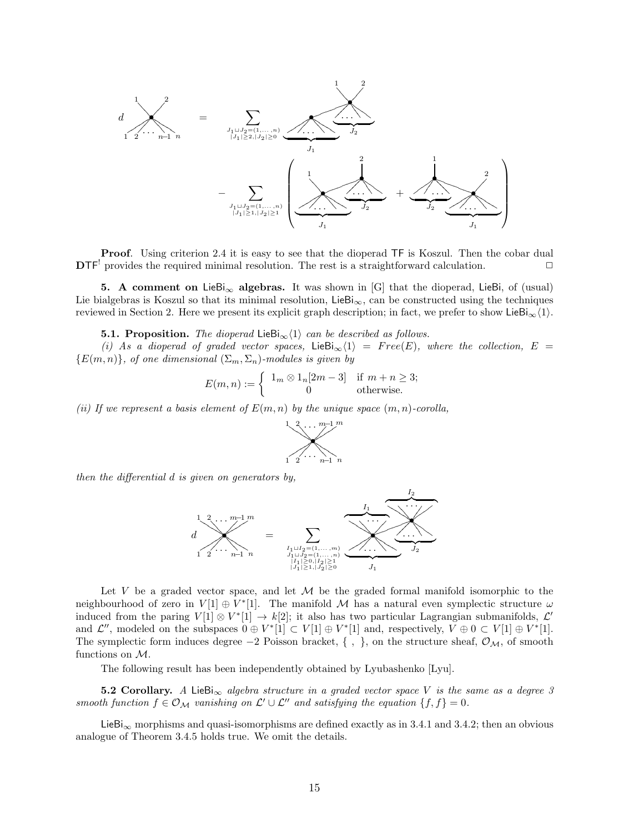

**Proof.** Using criterion 2.4 it is easy to see that the dioperad TF is Koszul. Then the cobar dual  $\mathbf{DTF}^!$  provides the required minimal resolution. The rest is a straightforward calculation.

5. A comment on LieBi<sub>∞</sub> algebras. It was shown in [G] that the dioperad, LieBi, of (usual) Lie bialgebras is Koszul so that its minimal resolution, LieBi<sub>∞</sub>, can be constructed using the techniques reviewed in Section 2. Here we present its explicit graph description; in fact, we prefer to show LieBi<sub> $\infty$ </sub> $\langle 1 \rangle$ .

**5.1. Proposition.** The dioperad LieBi<sub>∞</sub> $\langle 1 \rangle$  can be described as follows.

(i) As a dioperad of graded vector spaces, LieBi<sub>∞</sub> $\langle 1 \rangle$  = Free(E), where the collection, E =  ${E(m, n)}$ , of one dimensional  $(\Sigma_m, \Sigma_n)$ -modules is given by

$$
E(m, n) := \begin{cases} 1_m \otimes 1_n[2m - 3] & \text{if } m + n \ge 3; \\ 0 & \text{otherwise.} \end{cases}
$$

(ii) If we represent a basis element of  $E(m, n)$  by the unique space  $(m, n)$ -corolla,



then the differential d is given on generators by,



Let V be a graded vector space, and let  $M$  be the graded formal manifold isomorphic to the neighbourhood of zero in  $V[1] \oplus V^*[1]$ . The manifold M has a natural even symplectic structure  $\omega$ induced from the paring  $V[1] \otimes V^*[1] \to k[2]$ ; it also has two particular Lagrangian submanifolds,  $\mathcal{L}'$ and  $\mathcal{L}''$ , modeled on the subspaces  $0 \oplus V^*[1] \subset V[1] \oplus V^*[1]$  and, respectively,  $V \oplus 0 \subset V[1] \oplus V^*[1]$ . The symplectic form induces degree  $-2$  Poisson bracket, {, }, on the structure sheaf,  $\mathcal{O}_\mathcal{M}$ , of smooth functions on M.

The following result has been independently obtained by Lyubashenko [Lyu].

5.2 Corollary. A LieBi<sub>∞</sub> algebra structure in a graded vector space V is the same as a degree 3 smooth function  $f \in \mathcal{O}_\mathcal{M}$  vanishing on  $\mathcal{L}' \cup \mathcal{L}''$  and satisfying the equation  $\{f, f\} = 0$ .

 $\text{LieBi}_{\infty}$  morphisms and quasi-isomorphisms are defined exactly as in 3.4.1 and 3.4.2; then an obvious analogue of Theorem 3.4.5 holds true. We omit the details.